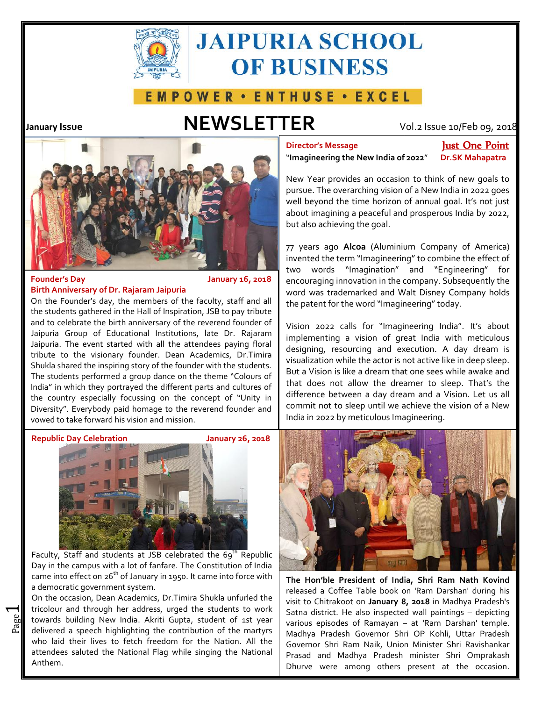

# **JAIPURIA SCHOOL OF BUSINESS**

## **EMPOWER · ENTHUSE · EXCEL**

## **January Issue NEWSLETTER** Vol.2 Issue 10/Feb 09, 2018



### **Founder's Day January 16, 2018 Birth Anniversary of Dr. Rajaram Jaipuria**

On the Founder's day, the members of the faculty, staff and all the students gathered in the Hall of Inspiration, JSB to pay tribute and to celebrate the birth anniversary of the reverend founder of Jaipuria Group of Educational Institutions, late Dr. Rajaram Jaipuria. The event started with all the attendees paying floral tribute to the visionary founder. Dean Academics, Dr.Timira Shukla shared the inspiring story of the founder with the students. The students performed a group dance on the theme "Colours of India" in which they portrayed the different parts and cultures of the country especially focussing on the concept of "Unity in Diversity". Everybody paid homage to the reverend founder and commonly commonly commonly vowed to take forward his vision and mission. vowed to take forward his vision and mission. **Baymeth Continuous Founder's Day**<br> **Day Day Day Day Day Day Day Day Day Day Day Day Day Day Day Day Day Day Day Day Day Day Day Day Day Day Day Day Day Day Day**





Faculty, Staff and students at JSB celebrated the  $69^{th}$  Republic Day in the campus with a lot of fanfare. The Constitution of India came into effect on 26<sup>th</sup> of January in 1950. It came into force with  $\sqrt{\frac{1}{Th}}$ a democratic government system. Faculty, Staff and students at JSB celebrated the  $69^{\text{th}}$  Rep<br>Day in the campus with a lot of fanfare. The Constitution of I<br>came into effect on  $26^{\text{th}}$  of January in 1950. It came into force<br>a democratic government

 $\mathbb{E}$  towards building New India. Akriti Gupta, student of 1st year  $\begin{bmatrix} 56 \\ 70 \\ 10 \end{bmatrix}$  delivered a speech highlighting the contribution of the martyrs On the occasion, Dean Academics, Dr.Timira Shukla unfurled the tricolour and through her address, urged the students to work  $|$   $\varsigma_{\texttt{atn}}$ delivered a speech highlighting the contribution of the martyrs who laid their lives to fetch freedom for the Nation. All the  $\int$  Gove attendees saluted the National Flag while singing the National Anthem. India. Akriti Gupta, student of 1st year<br>a speech highlighting the contribution of the martyrs<br>their lives to fetch freedom for the Nation. All the<br>saluted the National Flag while singing the National

**Director's Message Just One Point**

"**Imagineering the New India of 2022**" **Dr.SK Mahapatra**

New Year provides an occasion to think of new goals to pursue. The overarching vision of a New India in 2022 goes well beyond the time horizon of annual goal. It's not just about imagining a peaceful and prosperous India by 2022, but also achieving the goal.

77 years ago **Alcoa** (Aluminium Company of America) invented the term "Imagineering" to combine the effect of two words "Imagination" and "Engineering" for encouraging innovation in the company. Subsequently the word was trademarked and Walt Disney Company holds the patent for the word "Imagineering" today.

Vision 2022 calls for "Imagineering India". It's about implementing a vision of great India with meticulous designing, resourcing and execution. A day dream is visualization while the actor is not active like in deep sleep. But a Vision is like a dream that one sees while awake and that does not allow the dreamer to sleep. That's the difference between a day dream and a Vision. Let us all commit not to sleep until we achieve the vision of a New India in 2022 by meticulous Imagineering.



**The Hon'ble President of India, Shri Ram Nath Kovind** released a Coffee Table book on 'Ram Darshan' during his visit to Chitrakoot on **January 8, 2018** in Madhya Pradesh's Satna district. He also inspected wall paintings – depicting various episodes of Ramayan – at 'Ram Darshan' temple. Madhya Pradesh Governor Shri OP Kohli, Uttar Pradesh Governor Shri Ram Naik, Union Minister Shri Ravishankar Prasad and Madhya Pradesh minister Shri Omprakash

 $\overline{\phantom{0}}$ 

.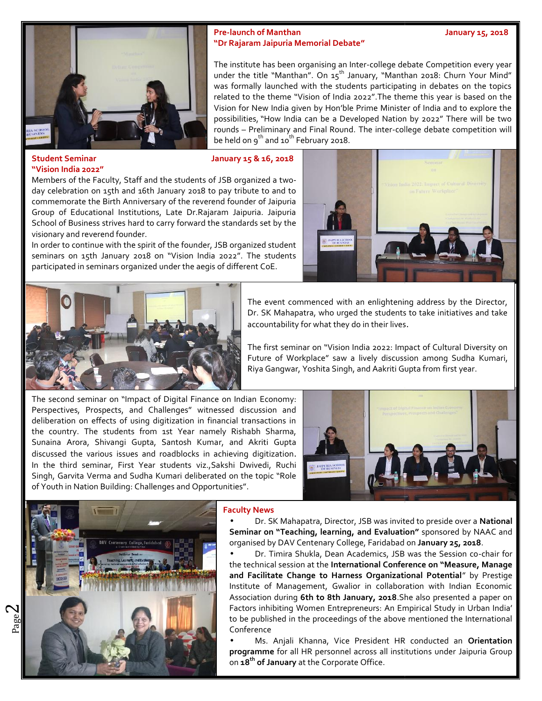

### **Pre-launch of Manthan January 15, 2018 "Dr Rajaram Jaipuria Memorial Debate" "Dr Rajaram**

The institute has been organising an Inter-college debate Competition every year under the title "Manthan". On  $15^{th}$  January, "Manthan 2018: Churn Your Mind"  $\parallel$ was formally launched with the students participating in debates on the topics related to the theme "Vision of India 2022".The theme this year is based on the same of the solid vision for New<br>Vision for New India given by Hon'ble Prime Minister of India and to explore the Vision for New India given by Hon'ble Prime Minister of India and to explore the possibilities, "How India can be a Developed Nation by 2022" There will be two  $\parallel$ rounds – Preliminary and Final Round. The inter-college debate competition will  $\parallel$ be held on  $9^{th}$  and 10<sup>th</sup> February 2018. s been organising an Inter-college debate Competition every year<br>"Manthan". On 15<sup>th</sup> January, "Manthan 2018: Churn Your Mind"<br>unched with the students participating in debates on the topics

### **Student Seminar January 15 & 16, 2018 "Vision India 2022"**

Members of the Faculty, Staff and the students of JSB organized a two day celebration on 15th and 16th January 2018 to pay tribute to and to commemorate the Birth Anniversary of the reverend founder of Jaipuria Group of Educational Institutions, Late Dr.Rajaram Jaipuria. Jaipuria School of Business strives hard to carry forward the standards set by the visionary and reverend founder.

In order to continue with the spirit of the founder, JSB organized student seminars on 15th January 2018 on "Vision India 2022". The students participated in seminars organized under the aegis of different CoE.





The event commenced with an enlightening address by the Director, Dr. SK Mahapatra, who urged the students to take initiatives and take accountability for what they do in their lives.

The first seminar on "Vision India 2022: Impact of Cultural Diversity on Future of Workplace" saw a lively discussion among Sudha Kumari,

Perspectives, Prospects, and Challenges" witnessed discussion and deliberation on effects of using digitization in financial transactions in the country. The students from 1st Year namely Rishabh Sharma, Sunaina Arora, Shivangi Gupta, Santosh Kumar, and Akriti Gupta discussed the various issues and roadblocks in achieving digitization. In the third seminar, First Year students viz.,Sakshi Dwivedi, Ruchi Singh, Garvita Verma and Sudha Kumari deliberated on the topic "Role of Youth in Nation Building: Challenges and Opportunities". of the Birth American of Hongta Finance of Digital Finance and the Student of Business and the Student of Student and the January 2018 to pay tribute to and tother of Student2018 2022. The students and the Student Coer.<br>
T





### **Faculty News**

 Dr. SK Mahapatra, Director, JSB was invited to preside over a **National Seminar on "Teaching, learning, and Evaluation"** sponsored by NAAC and organised by DAV Centenary College, Faridabad on **January 25, 2018**. **Seminar on "Teaching, learning, and Evaluation"** sponsored by NAAC and<br>organised by DAV Centenary College, Faridabad on **January 25, 2018**.<br>• Dr. Timira Shukla, Dean Academics, JSB was the Session co-chair for

the technical session at the **International Conference on "Measure, Manage and Facilitate Change to Harness Organizational Potential**" by Prestige Institute of Management, Gwalior in collaboration with Indian Economic Association during **6th to 8th January, 2018**.She also presented a paper on Factors inhibiting Women Entrepreneurs: An Empirical Study in Urban India' to be published in the proceedings of the above mentioned the International Conference It of Management, Gwalior in collaboration with Indian Economic<br>
Ition during **6th to 8th January, 2018**. She also presented a paper on<br>
inhibiting Women Entrepreneurs: An Empirical Study in Urban India<br>
Iblished in the pr

 Ms. Anjali Khanna, Vice President HR conducted an **Orientation programme** for all HR personnel across all institutions under Jaipuria Group on **18th of January** at the Corporate Office.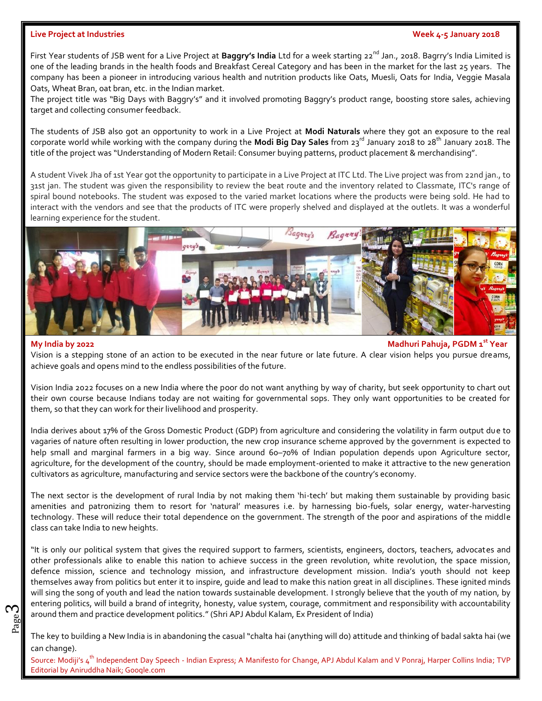### **Live Project at Industries Week 4-5 January 2018**

First Year students of JSB went for a Live Project at **Baggry's India** Ltd for a week starting 22<sup>nd</sup> Jan., 2018. Bagrry's India Limited is one of the leading brands in the health foods and Breakfast Cereal Category and has been in the market for the last 25 years. The company has been a pioneer in introducing various health and nutrition products like Oats, Muesli, Oats for India, Veggie Masala Oats, Wheat Bran, oat bran, etc. in the Indian market.

The project title was "Big Days with Baggry's" and it involved promoting Baggry's product range, boosting store sales, achieving target and collecting consumer feedback.

The students of JSB also got an opportunity to work in a Live Project at **Modi Naturals** where they got an exposure to the real corporate world while working with the company during the **Modi Big Day Sales** from 23<sup>rd</sup> January 2018 to 28<sup>th</sup> January 2018. The title of the project was "Understanding of Modern Retail: Consumer buying patterns, product placement & merchandising".

A student Vivek Jha of 1st Year got the opportunity to participate in a Live Project at ITC Ltd. The Live project was from 22nd jan., to 31st jan. The student was given the responsibility to review the beat route and the inventory related to Classmate, ITC's range of spiral bound notebooks. The student was exposed to the varied market locations where the products were being sold. He had to interact with the vendors and see that the products of ITC were properly shelved and displayed at the outlets. It was a wonderful learning experience for the student.



ო

### **My India by 2022 Madhuri Pahuja, PGDM 1st Year**

Vision is a stepping stone of an action to be executed in the near future or late future. A clear vision helps you pursue dreams, achieve goals and opens mind to the endless possibilities of the future.

Vision India 2022 focuses on a new India where the poor do not want anything by way of charity, but seek opportunity to chart out their own course because Indians today are not waiting for governmental sops. They only want opportunities to be created for them, so that they can work for their livelihood and prosperity.

India derives about 17% of the Gross Domestic Product (GDP) from agriculture and considering the volatility in farm output due to vagaries of nature often resulting in lower production, the new crop insurance scheme approved by the government is expected to help small and marginal farmers in a big way. Since around 60-70% of Indian population depends upon Agriculture sector, agriculture, for the development of the country, should be made employment-oriented to make it attractive to the new generation cultivators as agriculture, manufacturing and service sectors were the backbone of the country's economy.

The next sector is the development of rural India by not making them 'hi-tech' but making them sustainable by providing basic amenities and patronizing them to resort for 'natural' measures i.e. by harnessing bio-fuels, solar energy, water-harvesting technology. These will reduce their total dependence on the government. The strength of the poor and aspirations of the middle class can take India to new heights.

 $\begin{bmatrix} 1 \ 2 \ 3 \ 2 \end{bmatrix}$  around them and practice development politics." (Shri APJ Abdul Kalam, Ex President of India)<br> $\begin{bmatrix} 2 \ 2 \ 2 \end{bmatrix}$ "It is only our political system that gives the required support to farmers, scientists, engineers, doctors, teachers, advocates and other professionals alike to enable this nation to achieve success in the green revolution, white revolution, the space mission, defence mission, science and technology mission, and infrastructure development mission. India's youth should not keep themselves away from politics but enter it to inspire, guide and lead to make this nation great in all disciplines. These ignited minds will sing the song of youth and lead the nation towards sustainable development. I strongly believe that the youth of my nation, by entering politics, will build a brand of integrity, honesty, value system, courage, commitment and responsibility with accountability

The key to building a New India is in abandoning the casual "chalta hai (anything will do) attitude and thinking of badal sakta hai (we can change).

Source: Modiji's 4<sup>th</sup> Independent Day Speech - Indian Express; A Manifesto for Change, APJ Abdul Kalam and V Ponraj, Harper Collins India; TVP Editorial by Aniruddha Naik; Google.com